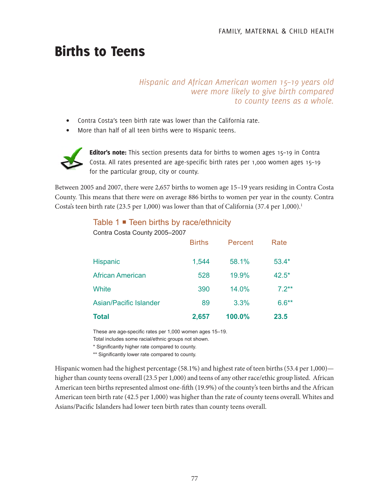# Births to Teens

### *Hispanic and African American women 15–19 years old were more likely to give birth compared to county teens as a whole.*

- Contra Costa's teen birth rate was lower than the California rate.
- More than half of all teen births were to Hispanic teens.



Editor's note: This section presents data for births to women ages 15-19 in Contra Costa. All rates presented are age-specific birth rates per 1,000 women ages 15–19 for the particular group, city or county.

Between 2005 and 2007, there were 2,657 births to women age 15–19 years residing in Contra Costa County. This means that there were on average 886 births to women per year in the county. Contra Costa's teen birth rate  $(23.5 \text{ per } 1,000)$  was lower than that of California  $(37.4 \text{ per } 1,000)$ .<sup>1</sup>

## Table 1 **■** Teen births by race/ethnicity

| <b>Total</b>                  | 2,657         | 100.0%  | 23.5     |
|-------------------------------|---------------|---------|----------|
| Asian/Pacific Islander        | 89            | 3.3%    | $6.6***$ |
| White                         | 390           | 14.0%   | $7.2**$  |
| <b>African American</b>       | 528           | 19.9%   | $42.5*$  |
| Hispanic                      | 1,544         | 58.1%   | $53.4*$  |
|                               | <b>Births</b> | Percent | Rate     |
| Contra Costa County 2005-2007 |               |         |          |

These are age-specific rates per 1,000 women ages 15–19. Total includes some racial/ethnic groups not shown.

\* Significantly higher rate compared to county.

\*\* Significantly lower rate compared to county.

Hispanic women had the highest percentage (58.1%) and highest rate of teen births (53.4 per 1,000) higher than county teens overall (23.5 per 1,000) and teens of any other race/ethic group listed. African American teen births represented almost one-fifth (19.9%) of the county's teen births and the African American teen birth rate (42.5 per 1,000) was higher than the rate of county teens overall. Whites and Asians/Pacific Islanders had lower teen birth rates than county teens overall.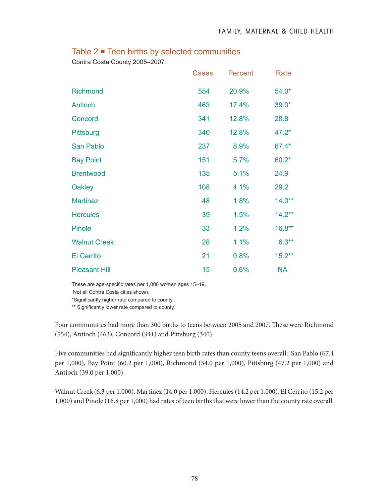|                      | <b>Cases</b> | Percent | Rate      |
|----------------------|--------------|---------|-----------|
| <b>Richmond</b>      | 554          | 20.9%   | $54.0*$   |
| Antioch              | 463          | 17.4%   | $39.0*$   |
| Concord              | 341          | 12.8%   | 28.8      |
| Pittsburg            | 340          | 12.8%   | $47.2*$   |
| San Pablo            | 237          | 8.9%    | 67.4*     |
| <b>Bay Point</b>     | 151          | 5.7%    | $60.2*$   |
| <b>Brentwood</b>     | 135          | 5.1%    | 24.9      |
| <b>Oakley</b>        | 108          | 4.1%    | 29.2      |
| <b>Martinez</b>      | 48           | 1.8%    | $14.0**$  |
| <b>Hercules</b>      | 39           | 1.5%    | $14.2***$ |
| <b>Pinole</b>        | 33           | 1.2%    | $16.8**$  |
| <b>Walnut Creek</b>  | 28           | 1.1%    | $6.3**$   |
| <b>El Cerrito</b>    | 21           | 0.8%    | $15.2***$ |
| <b>Pleasant Hill</b> | 15           | 0.6%    | <b>NA</b> |

## Table 2 ■ Teen births by selected communities

Contra Costa County 2005–2007

These are age-specific rates per 1,000 women ages 15–19.

Not all Contra Costa cities shown.

\*Significantly higher rate compared to county.

\*\* Significantly lower rate compared to county.

Four communities had more than 300 births to teens between 2005 and 2007. These were Richmond (554), Antioch (463), Concord (341) and Pittsburg (340).

Five communities had significantly higher teen birth rates than county teens overall: San Pablo (67.4 per 1,000), Bay Point (60.2 per 1,000), Richmond (54.0 per 1,000), Pittsburg (47.2 per 1,000) and Antioch (39.0 per 1,000).

Walnut Creek (6.3 per 1,000), Martinez (14.0 per 1,000), Hercules (14.2 per 1,000), El Cerrito (15.2 per 1,000) and Pinole (16.8 per 1,000) had rates of teen births that were lower than the county rate overall.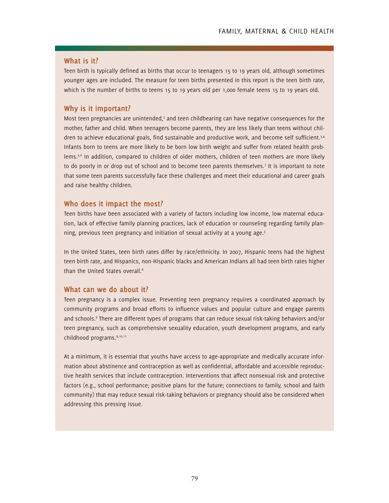#### **What is it?**

Teen birth is typically defined as births that occur to teenagers 15 to 19 years old, although sometimes younger ages are included. The measure for teen births presented in this report is the teen birth rate, which is the number of births to teens 15 to 19 years old per 1,000 female teens 15 to 19 years old.

#### **Why is it important?**

Most teen pregnancies are unintended, $2$  and teen childbearing can have negative consequences for the mother, father and child. When teenagers become parents, they are less likely than teens without children to achieve educational goals, find sustainable and productive work, and become self sufficient.3,4 Infants born to teens are more likely to be born low birth weight and suffer from related health problems.<sup>5,6</sup> In addition, compared to children of older mothers, children of teen mothers are more likely to do poorly in or drop out of school and to become teen parents themselves.<sup>7</sup> It is important to note that some teen parents successfully face these challenges and meet their educational and career goals and raise healthy children.

#### **Who does it impact the most?**

Teen births have been associated with a variety of factors including low income, low maternal education, lack of effective family planning practices, lack of education or counseling regarding family planning, previous teen pregnancy and initiation of sexual activity at a young age.3

In the United States, teen birth rates differ by race/ethnicity. In 2007, Hispanic teens had the highest teen birth rate, and Hispanics, non-Hispanic blacks and American Indians all had teen birth rates higher than the United States overall.<sup>8</sup>

#### **What can we do about it?**

Teen pregnancy is a complex issue. Preventing teen pregnancy requires a coordinated approach by community programs and broad efforts to influence values and popular culture and engage parents and schools.9 There are different types of programs that can reduce sexual risk-taking behaviors and/or teen pregnancy, such as comprehensive sexuality education, youth development programs, and early childhood programs.9,10,11

At a minimum, it is essential that youths have access to age-appropriate and medically accurate information about abstinence and contraception as well as confidential, affordable and accessible reproductive health services that include contraception. Interventions that affect nonsexual risk and protective factors (e.g., school performance; positive plans for the future; connections to family, school and faith community) that may reduce sexual risk-taking behaviors or pregnancy should also be considered when addressing this pressing issue.